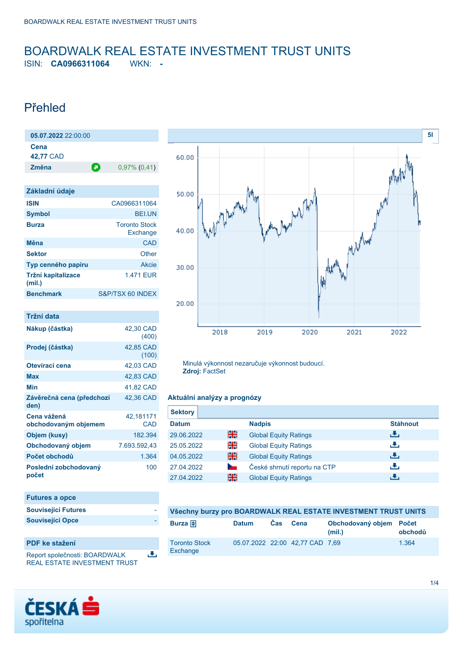### <span id="page-0-0"></span>BOARDWALK REAL ESTATE INVESTMENT TRUST UNITS ISIN: **CA0966311064** WKN: **-**

### Přehled

**05.07.2022** 22:00:00

| 05.07.2022 22:00:00                 |                                  |
|-------------------------------------|----------------------------------|
| Cena<br>42,77 CAD                   |                                  |
| Změna<br>Θ                          | $0,97\%$ (0,41)                  |
|                                     |                                  |
| Základní údaje                      |                                  |
| <b>ISIN</b>                         | CA0966311064                     |
| <b>Symbol</b>                       | BEI.UN                           |
| <b>Burza</b>                        | <b>Toronto Stock</b><br>Exchange |
| Měna                                | CAD                              |
| <b>Sektor</b>                       | Other                            |
| Typ cenného papíru                  | <b>Akcie</b>                     |
| Tržní kapitalizace<br>(mil.)        | 1.471 FUR                        |
| <b>Benchmark</b>                    | S&P/TSX 60 INDEX                 |
|                                     |                                  |
| <b>Tržní data</b>                   |                                  |
| Nákup (částka)                      | 42,30 CAD<br>(400)               |
| Prodej (částka)                     | 42.85 CAD<br>(100)               |
| Otevírací cena                      | 42,03 CAD                        |
| Max                                 | 42,83 CAD                        |
| Min                                 | 41,82 CAD                        |
| Závěrečná cena (předchozí<br>den)   | 42,36 CAD                        |
| Cena vážená<br>obchodovaným objemem | 42,181171<br>CAD                 |
| Objem (kusy)                        | 182.394                          |
| Obchodovaný objem                   | 7.693.592.43                     |

**Počet obchodů** 1.364

100

选

**Poslední zobchodovaný**

**Futures a opce Související Futures Související Opce** 

**PDF ke stažení**

**počet**



Minulá výkonnost nezaručuje výkonnost budoucí. **Zdroj:** FactSet

### **Aktuální analýzy a prognózy**

| <b>Sektory</b> |                |                              |                 |
|----------------|----------------|------------------------------|-----------------|
| <b>Datum</b>   |                | <b>Nadpis</b>                | <b>Stáhnout</b> |
| 29.06.2022     | 픪춙             | <b>Global Equity Ratings</b> | æ,              |
| 25.05.2022     | 을              | <b>Global Equity Ratings</b> | رالى            |
| 04.05.2022     | 을중             | <b>Global Equity Ratings</b> | رالى            |
| 27.04.2022     | <b>Service</b> | České shrnutí reportu na CTP | æ,              |
| 27.04.2022     | 픪중             | <b>Global Equity Ratings</b> | ٠₩,             |

| Všechny burzy pro BOARDWALK REAL ESTATE INVESTMENT TRUST UNITS |              |            |                                 |                                   |         |
|----------------------------------------------------------------|--------------|------------|---------------------------------|-----------------------------------|---------|
| Burza $\bigoplus$                                              | <b>Datum</b> | <b>Cas</b> | Cena                            | Obchodovaný objem Počet<br>(mil.) | obchodů |
| <b>Toronto Stock</b><br>Exchange                               |              |            | 05.07.2022 22:00 42.77 CAD 7.69 |                                   | 1.364   |



Report společnosti: BOARDWALK REAL ESTATE INVESTMENT TRUST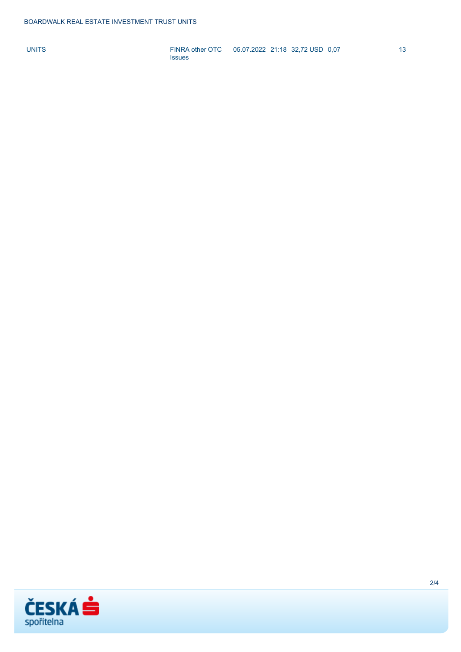UNITS [FINRA other OTC](https://cz.products.erstegroup.com/Retail/cs/Dispatcher/FactsheetDispatcher/index.phtml?ID_NOTATION=10219561) 05.07.2022 21:18 32,72 USD 0,07 13 [Issues](https://cz.products.erstegroup.com/Retail/cs/Dispatcher/FactsheetDispatcher/index.phtml?ID_NOTATION=10219561)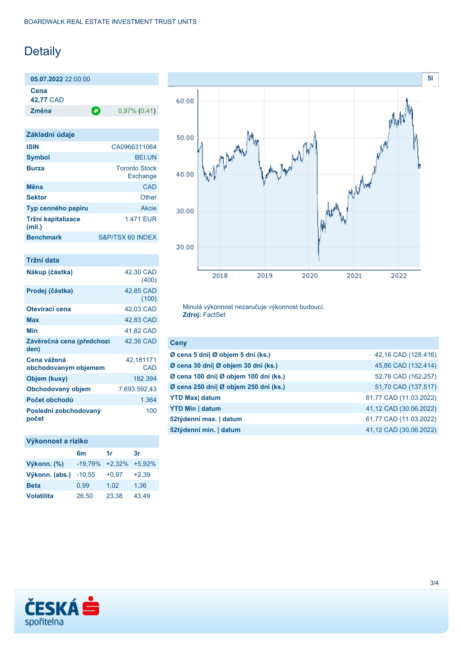# Detaily

**05.07.2022** 22:00:00 **Cena 42,77** CAD

**Změna** 0,97% (0,41)

| Základní údaje               |                                  |
|------------------------------|----------------------------------|
| <b>ISIN</b>                  | CA0966311064                     |
| <b>Symbol</b>                | <b>BELUN</b>                     |
| <b>Burza</b>                 | <b>Toronto Stock</b><br>Exchange |
| Měna                         | CAD                              |
| <b>Sektor</b>                | Other                            |
| Typ cenného papíru           | Akcie                            |
| Tržní kapitalizace<br>(mil.) | 1.471 FUR                        |
| <b>Benchmark</b>             | S&P/TSX 60 INDEX                 |
|                              |                                  |

| Tržní data                          |                    |
|-------------------------------------|--------------------|
| Nákup (částka)                      | 42,30 CAD<br>(400) |
| Prodej (částka)                     | 42,85 CAD<br>(100) |
| Otevírací cena                      | 42,03 CAD          |
| Max                                 | 42,83 CAD          |
| Min                                 | 41,82 CAD          |
| Závěrečná cena (předchozí<br>den)   | 42,36 CAD          |
| Cena vážená<br>obchodovaným objemem | 42,181171<br>CAD   |
| Objem (kusy)                        | 182.394            |
| Obchodovaný objem                   | 7.693.592,43       |
| Počet obchodů                       | 1.364              |
| Poslední zobchodovaný<br>počet      | 100                |

### **Výkonnost a riziko**

|                   | 6m                 | 1r      | 3r       |
|-------------------|--------------------|---------|----------|
| Výkonn. (%)       | $-19.79\% +2.32\%$ |         | $+5.92%$ |
| Výkonn. (abs.)    | $-10,55$           | $+0.97$ | $+2.39$  |
| <b>Beta</b>       | 0.99               | 1.02    | 1,36     |
| <b>Volatilita</b> | 26,50              | 23,38   | 43.49    |



Minulá výkonnost nezaručuje výkonnost budoucí. **Zdroj:** FactSet

| Ceny                                  |                        |
|---------------------------------------|------------------------|
| Ø cena 5 dní  Ø objem 5 dní (ks.)     | 42,16 CAD (128.416)    |
| Ø cena 30 dní  Ø objem 30 dní (ks.)   | 45,86 CAD (132.414)    |
| Ø cena 100 dní  Ø objem 100 dní (ks.) | 52,76 CAD (162.257)    |
| Ø cena 250 dní  Ø objem 250 dní (ks.) | 51,70 CAD (137.517)    |
| <b>YTD Max</b> datum                  | 61,77 CAD (11.03.2022) |
| <b>YTD Min   datum</b>                | 41,12 CAD (30.06.2022) |
| 52týdenní max.   datum                | 61,77 CAD (11.03.2022) |
| 52týdenní min.   datum                | 41,12 CAD (30.06.2022) |